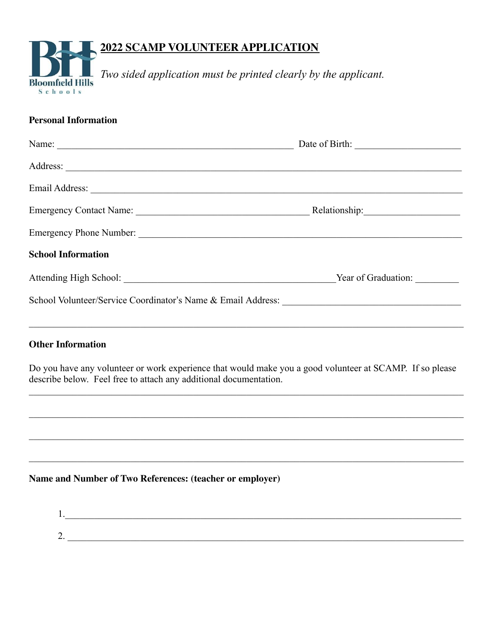# **2022 SCAMP VOLUNTEER APPLICATION**



*Two sided application must be printed clearly by the applicant.*

## **Personal Information**

| <b>School Information</b> |                     |
|---------------------------|---------------------|
|                           | Year of Graduation: |
|                           |                     |
|                           |                     |

### **Other Information**

Do you have any volunteer or work experience that would make you a good volunteer at SCAMP. If so please describe below. Feel free to attach any additional documentation.

 $\_$  , and the contribution of the contribution of the contribution of the contribution of the contribution of  $\mathcal{L}_\text{max}$ 

 $\mathcal{L}_\mathcal{L} = \mathcal{L}_\mathcal{L} = \mathcal{L}_\mathcal{L} = \mathcal{L}_\mathcal{L} = \mathcal{L}_\mathcal{L} = \mathcal{L}_\mathcal{L} = \mathcal{L}_\mathcal{L} = \mathcal{L}_\mathcal{L} = \mathcal{L}_\mathcal{L} = \mathcal{L}_\mathcal{L} = \mathcal{L}_\mathcal{L} = \mathcal{L}_\mathcal{L} = \mathcal{L}_\mathcal{L} = \mathcal{L}_\mathcal{L} = \mathcal{L}_\mathcal{L} = \mathcal{L}_\mathcal{L} = \mathcal{L}_\mathcal{L}$ 

 $\_$  , and the contribution of the contribution of the contribution of the contribution of the contribution of  $\mathcal{L}_\text{max}$ 

 $\mathcal{L}_\mathcal{L} = \mathcal{L}_\mathcal{L} = \mathcal{L}_\mathcal{L} = \mathcal{L}_\mathcal{L} = \mathcal{L}_\mathcal{L} = \mathcal{L}_\mathcal{L} = \mathcal{L}_\mathcal{L} = \mathcal{L}_\mathcal{L} = \mathcal{L}_\mathcal{L} = \mathcal{L}_\mathcal{L} = \mathcal{L}_\mathcal{L} = \mathcal{L}_\mathcal{L} = \mathcal{L}_\mathcal{L} = \mathcal{L}_\mathcal{L} = \mathcal{L}_\mathcal{L} = \mathcal{L}_\mathcal{L} = \mathcal{L}_\mathcal{L}$ 

### **Name and Number of Two References: (teacher or employer)**

1. 2. \_\_\_\_\_\_\_\_\_\_\_\_\_\_\_\_\_\_\_\_\_\_\_\_\_\_\_\_\_\_\_\_\_\_\_\_\_\_\_\_\_\_\_\_\_\_\_\_\_\_\_\_\_\_\_\_\_\_\_\_\_\_\_\_\_\_\_\_\_\_\_\_\_\_\_\_\_\_\_\_\_\_